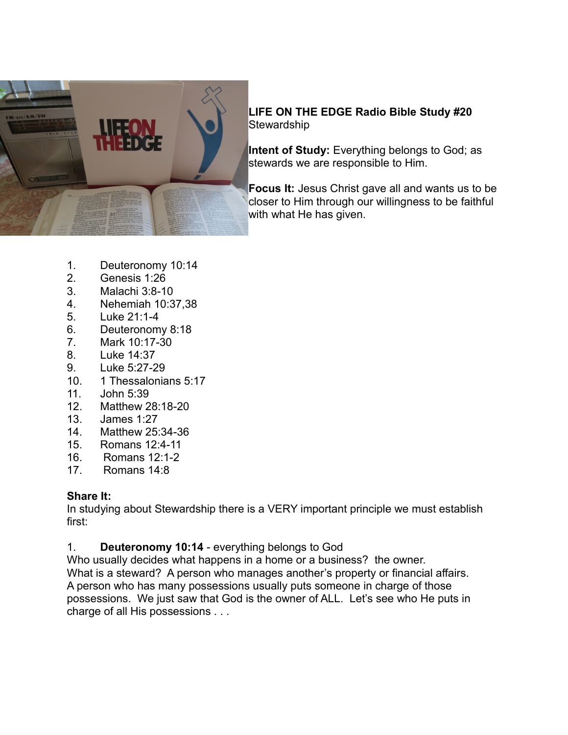

# **LIFE ON THE EDGE Radio Bible Study #20 Stewardship**

**Intent of Study:** Everything belongs to God; as stewards we are responsible to Him.

**Focus It:** Jesus Christ gave all and wants us to be closer to Him through our willingness to be faithful with what He has given.

- 1. Deuteronomy 10:14
- 2. Genesis 1:26
- 3. Malachi 3:8-10
- 4. Nehemiah 10:37,38
- 5. Luke 21:1-4
- 6. Deuteronomy 8:18
- 7. Mark 10:17-30
- 8. Luke 14:37
- 9. Luke 5:27-29
- 10. 1 Thessalonians 5:17
- 11. John 5:39
- 12. Matthew 28:18-20
- 13. James 1:27
- 14. Matthew 25:34-36
- 15. Romans 12:4-11
- 16. Romans 12:1-2<br>17 Romans 14:8
- Romans 14:8

### **Share It:**

In studying about Stewardship there is a VERY important principle we must establish first:

1. **Deuteronomy 10:14** - everything belongs to God

Who usually decides what happens in a home or a business? the owner. What is a steward? A person who manages another's property or financial affairs. A person who has many possessions usually puts someone in charge of those possessions. We just saw that God is the owner of ALL. Let's see who He puts in charge of all His possessions . . .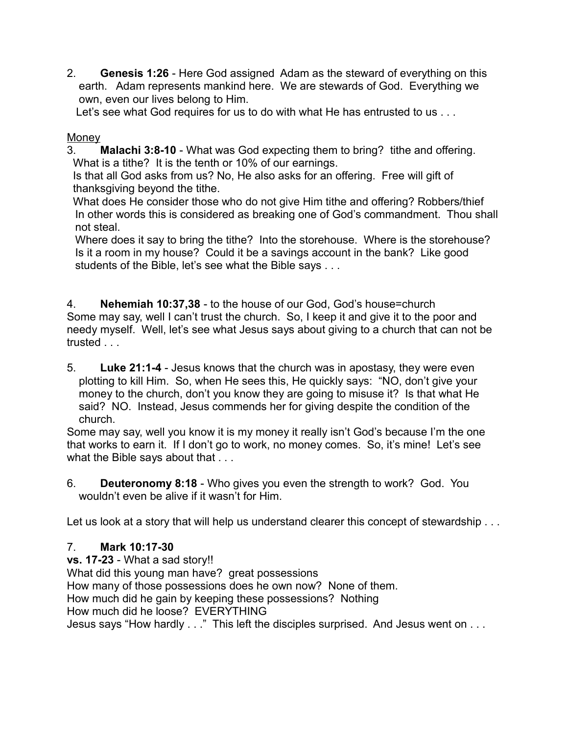2. **Genesis 1:26** - Here God assigned Adam as the steward of everything on this earth. Adam represents mankind here. We are stewards of God. Everything we own, even our lives belong to Him.

Let's see what God requires for us to do with what He has entrusted to us . . .

## Money

3. **Malachi 3:8-10** - What was God expecting them to bring? tithe and offering. What is a tithe? It is the tenth or 10% of our earnings.

 Is that all God asks from us? No, He also asks for an offering. Free will gift of thanksgiving beyond the tithe.

 What does He consider those who do not give Him tithe and offering? Robbers/thief In other words this is considered as breaking one of God's commandment. Thou shall not steal.

Where does it say to bring the tithe? Into the storehouse. Where is the storehouse? Is it a room in my house? Could it be a savings account in the bank? Like good students of the Bible, let's see what the Bible says . . .

4. **Nehemiah 10:37,38** - to the house of our God, God's house=church Some may say, well I can't trust the church. So, I keep it and give it to the poor and needy myself. Well, let's see what Jesus says about giving to a church that can not be trusted . . .

5. **Luke 21:1-4** - Jesus knows that the church was in apostasy, they were even plotting to kill Him. So, when He sees this, He quickly says: "NO, don't give your money to the church, don't you know they are going to misuse it? Is that what He said? NO. Instead, Jesus commends her for giving despite the condition of the church.

Some may say, well you know it is my money it really isn't God's because I'm the one that works to earn it. If I don't go to work, no money comes. So, it's mine! Let's see what the Bible says about that . . .

6. **Deuteronomy 8:18** - Who gives you even the strength to work? God. You wouldn't even be alive if it wasn't for Him.

Let us look at a story that will help us understand clearer this concept of stewardship . . .

# 7. **Mark 10:17-30**

**vs. 17-23** - What a sad story!! What did this young man have? great possessions How many of those possessions does he own now? None of them. How much did he gain by keeping these possessions? Nothing How much did he loose? EVERYTHING Jesus says "How hardly . . ." This left the disciples surprised. And Jesus went on . . .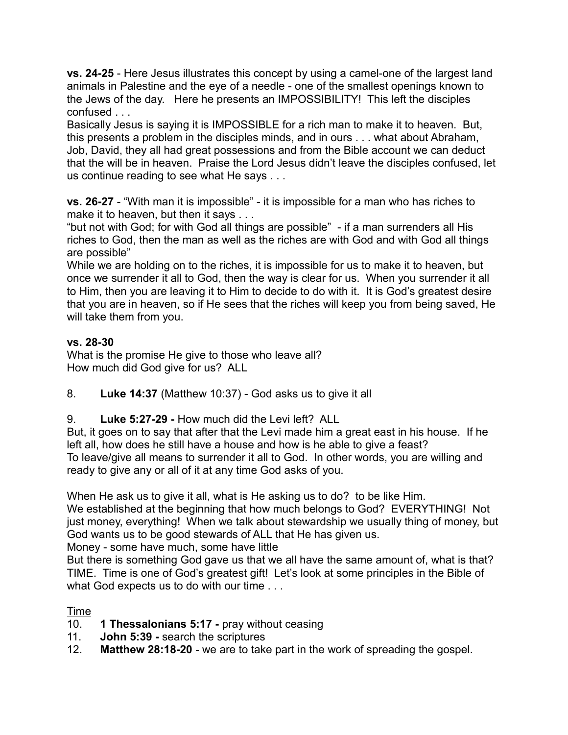**vs. 24-25** - Here Jesus illustrates this concept by using a camel-one of the largest land animals in Palestine and the eye of a needle - one of the smallest openings known to the Jews of the day. Here he presents an IMPOSSIBILITY! This left the disciples confused . . .

Basically Jesus is saying it is IMPOSSIBLE for a rich man to make it to heaven. But, this presents a problem in the disciples minds, and in ours . . . what about Abraham, Job, David, they all had great possessions and from the Bible account we can deduct that the will be in heaven. Praise the Lord Jesus didn't leave the disciples confused, let us continue reading to see what He says . . .

**vs. 26-27** - "With man it is impossible" - it is impossible for a man who has riches to make it to heaven, but then it says . . .

"but not with God; for with God all things are possible" - if a man surrenders all His riches to God, then the man as well as the riches are with God and with God all things are possible"

While we are holding on to the riches, it is impossible for us to make it to heaven, but once we surrender it all to God, then the way is clear for us. When you surrender it all to Him, then you are leaving it to Him to decide to do with it. It is God's greatest desire that you are in heaven, so if He sees that the riches will keep you from being saved, He will take them from you.

## **vs. 28-30**

What is the promise He give to those who leave all? How much did God give for us? ALL

- 8. **Luke 14:37** (Matthew 10:37) God asks us to give it all
- 9. **Luke 5:27-29** How much did the Levi left? ALL

But, it goes on to say that after that the Levi made him a great east in his house. If he left all, how does he still have a house and how is he able to give a feast? To leave/give all means to surrender it all to God. In other words, you are willing and ready to give any or all of it at any time God asks of you.

When He ask us to give it all, what is He asking us to do? to be like Him.

We established at the beginning that how much belongs to God? EVERYTHING! Not just money, everything! When we talk about stewardship we usually thing of money, but God wants us to be good stewards of ALL that He has given us.

Money - some have much, some have little

But there is something God gave us that we all have the same amount of, what is that? TIME. Time is one of God's greatest gift! Let's look at some principles in the Bible of what God expects us to do with our time . . .

### Time

- 10. **1 Thessalonians 5:17** pray without ceasing
- 11. **John 5:39** search the scriptures
- 12. **Matthew 28:18-20** we are to take part in the work of spreading the gospel.